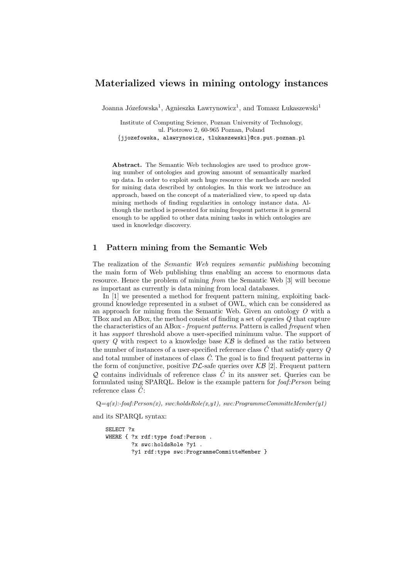## Materialized views in mining ontology instances

Joanna Józefowska<sup>1</sup>, Agnieszka Ławrynowicz<sup>1</sup>, and Tomasz Łukaszewski<sup>1</sup>

Institute of Computing Science, Poznan University of Technology, ul. Piotrowo 2, 60-965 Poznan, Poland {jjozefowska, alawrynowicz, tlukaszewski}@cs.put.poznan.pl

Abstract. The Semantic Web technologies are used to produce growing number of ontologies and growing amount of semantically marked up data. In order to exploit such huge resource the methods are needed for mining data described by ontologies. In this work we introduce an approach, based on the concept of a materialized view, to speed up data mining methods of finding regularities in ontology instance data. Although the method is presented for mining frequent patterns it is general enough to be applied to other data mining tasks in which ontologies are used in knowledge discovery.

## 1 Pattern mining from the Semantic Web

The realization of the *Semantic Web* requires *semantic publishing* becoming the main form of Web publishing thus enabling an access to enormous data resource. Hence the problem of mining from the Semantic Web [3] will become as important as currently is data mining from local databases.

In [1] we presented a method for frequent pattern mining, exploiting background knowledge represented in a subset of OWL, which can be considered as an approach for mining from the Semantic Web. Given an ontology O with a TBox and an ABox, the method consist of finding a set of queries Q that capture the characteristics of an ABox - frequent patterns. Pattern is called frequent when it has support threshold above a user-specified minimum value. The support of query  $Q$  with respect to a knowledge base  $KB$  is defined as the ratio between the number of instances of a user-specified reference class  $\hat{C}$  that satisfy query Q and total number of instances of class  $\hat{C}$ . The goal is to find frequent patterns in the form of conjunctive, positive  $\mathcal{DL}$ -safe queries over  $\mathcal{KB}$  [2]. Frequent pattern  $Q$  contains individuals of reference class  $\hat{C}$  in its answer set. Queries can be formulated using SPARQL. Below is the example pattern for foaf: Person being reference class  $\ddot{C}$ :

 $Q=q(x)$ :-foaf:Person(x), swc:holdsRole(x,y1), swc:ProgrammeCommitteMember(y1)

and its SPARQL syntax:

```
SELECT ?x
WHERE { ?x rdf:type foaf:Person .
        ?x swc:holdsRole ?y1 .
        ?y1 rdf:type swc:ProgrammeCommitteMember }
```